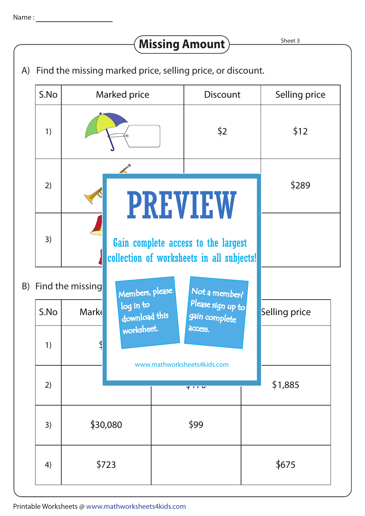## **Missing Amount**

Sheet 3

A) Find the missing marked price, selling price, or discount.

|  | S.No | Marked price                                            | <b>Discount</b>                                                                  | Selling price |
|--|------|---------------------------------------------------------|----------------------------------------------------------------------------------|---------------|
|  | 1)   |                                                         | $\frac{1}{2}$                                                                    | \$12          |
|  | 2)   | <b>PREVIEW</b>                                          |                                                                                  | \$289         |
|  | 3)   |                                                         | Gain complete access to the largest<br>collection of worksheets in all subjects! |               |
|  |      | B) Find the missing<br>Members, please<br>Not a member? |                                                                                  |               |
|  | S.No | log in to<br><b>Mark</b><br>download this               | Please sign up to<br>gain complete                                               | Selling price |
|  | 1)   | worksheet.                                              | <b>ACCESS.</b><br>www.mathworksheets4kids.com                                    |               |
|  | 2)   |                                                         | マリハマ                                                                             |               |
|  | 3)   | \$30,080                                                | \$99                                                                             |               |
|  | 4)   | \$723                                                   |                                                                                  | \$675         |

Printable Worksheets @ www.mathworksheets4kids.com